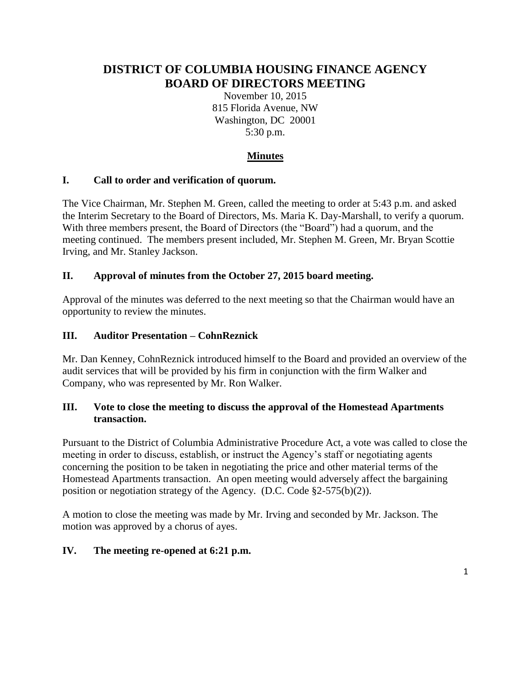# **DISTRICT OF COLUMBIA HOUSING FINANCE AGENCY BOARD OF DIRECTORS MEETING**

November 10, 2015 815 Florida Avenue, NW Washington, DC 20001 5:30 p.m.

## **Minutes**

#### **I. Call to order and verification of quorum.**

The Vice Chairman, Mr. Stephen M. Green, called the meeting to order at 5:43 p.m. and asked the Interim Secretary to the Board of Directors, Ms. Maria K. Day-Marshall, to verify a quorum. With three members present, the Board of Directors (the "Board") had a quorum, and the meeting continued. The members present included, Mr. Stephen M. Green, Mr. Bryan Scottie Irving, and Mr. Stanley Jackson.

#### **II. Approval of minutes from the October 27, 2015 board meeting.**

Approval of the minutes was deferred to the next meeting so that the Chairman would have an opportunity to review the minutes.

#### **III. Auditor Presentation – CohnReznick**

Mr. Dan Kenney, CohnReznick introduced himself to the Board and provided an overview of the audit services that will be provided by his firm in conjunction with the firm Walker and Company, who was represented by Mr. Ron Walker.

#### **III. Vote to close the meeting to discuss the approval of the Homestead Apartments transaction.**

Pursuant to the District of Columbia Administrative Procedure Act, a vote was called to close the meeting in order to discuss, establish, or instruct the Agency's staff or negotiating agents concerning the position to be taken in negotiating the price and other material terms of the Homestead Apartments transaction. An open meeting would adversely affect the bargaining position or negotiation strategy of the Agency. (D.C. Code §2-575(b)(2)).

A motion to close the meeting was made by Mr. Irving and seconded by Mr. Jackson. The motion was approved by a chorus of ayes.

#### **IV. The meeting re-opened at 6:21 p.m.**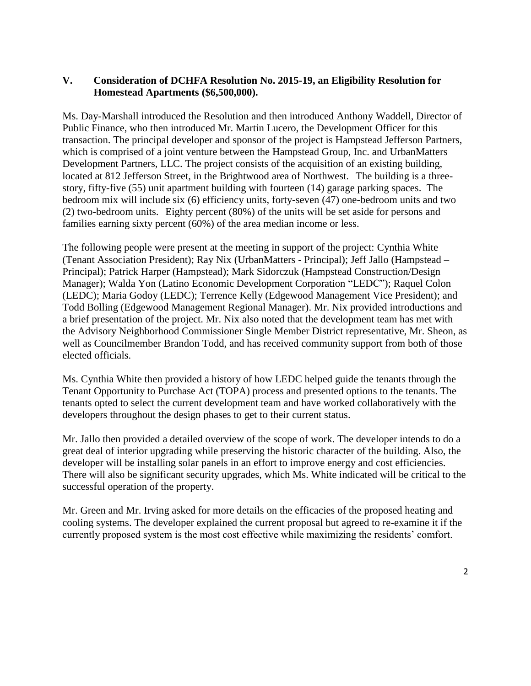#### **V. Consideration of DCHFA Resolution No. 2015-19, an Eligibility Resolution for Homestead Apartments (\$6,500,000).**

Ms. Day-Marshall introduced the Resolution and then introduced Anthony Waddell, Director of Public Finance, who then introduced Mr. Martin Lucero, the Development Officer for this transaction. The principal developer and sponsor of the project is Hampstead Jefferson Partners, which is comprised of a joint venture between the Hampstead Group, Inc. and UrbanMatters Development Partners, LLC. The project consists of the acquisition of an existing building, located at 812 Jefferson Street, in the Brightwood area of Northwest. The building is a threestory, fifty-five (55) unit apartment building with fourteen (14) garage parking spaces. The bedroom mix will include six (6) efficiency units, forty-seven (47) one-bedroom units and two (2) two-bedroom units. Eighty percent (80%) of the units will be set aside for persons and families earning sixty percent (60%) of the area median income or less.

The following people were present at the meeting in support of the project: Cynthia White (Tenant Association President); Ray Nix (UrbanMatters - Principal); Jeff Jallo (Hampstead – Principal); Patrick Harper (Hampstead); Mark Sidorczuk (Hampstead Construction/Design Manager); Walda Yon (Latino Economic Development Corporation "LEDC"); Raquel Colon (LEDC); Maria Godoy (LEDC); Terrence Kelly (Edgewood Management Vice President); and Todd Bolling (Edgewood Management Regional Manager). Mr. Nix provided introductions and a brief presentation of the project. Mr. Nix also noted that the development team has met with the Advisory Neighborhood Commissioner Single Member District representative, Mr. Sheon, as well as Councilmember Brandon Todd, and has received community support from both of those elected officials.

Ms. Cynthia White then provided a history of how LEDC helped guide the tenants through the Tenant Opportunity to Purchase Act (TOPA) process and presented options to the tenants. The tenants opted to select the current development team and have worked collaboratively with the developers throughout the design phases to get to their current status.

Mr. Jallo then provided a detailed overview of the scope of work. The developer intends to do a great deal of interior upgrading while preserving the historic character of the building. Also, the developer will be installing solar panels in an effort to improve energy and cost efficiencies. There will also be significant security upgrades, which Ms. White indicated will be critical to the successful operation of the property.

Mr. Green and Mr. Irving asked for more details on the efficacies of the proposed heating and cooling systems. The developer explained the current proposal but agreed to re-examine it if the currently proposed system is the most cost effective while maximizing the residents' comfort.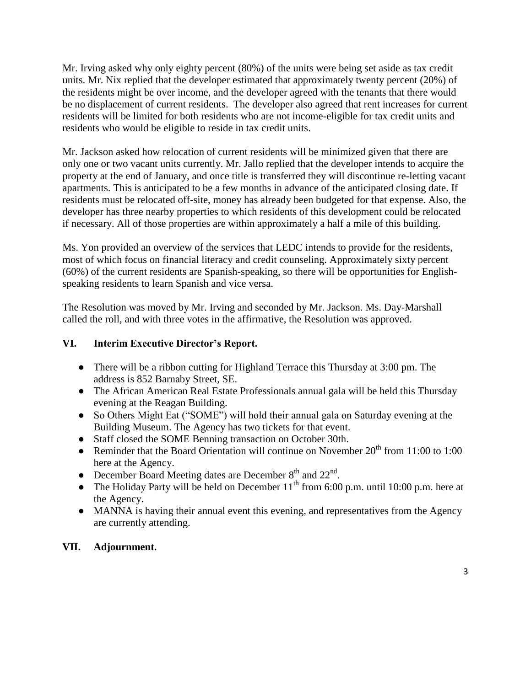Mr. Irving asked why only eighty percent (80%) of the units were being set aside as tax credit units. Mr. Nix replied that the developer estimated that approximately twenty percent (20%) of the residents might be over income, and the developer agreed with the tenants that there would be no displacement of current residents. The developer also agreed that rent increases for current residents will be limited for both residents who are not income-eligible for tax credit units and residents who would be eligible to reside in tax credit units.

Mr. Jackson asked how relocation of current residents will be minimized given that there are only one or two vacant units currently. Mr. Jallo replied that the developer intends to acquire the property at the end of January, and once title is transferred they will discontinue re-letting vacant apartments. This is anticipated to be a few months in advance of the anticipated closing date. If residents must be relocated off-site, money has already been budgeted for that expense. Also, the developer has three nearby properties to which residents of this development could be relocated if necessary. All of those properties are within approximately a half a mile of this building.

Ms. Yon provided an overview of the services that LEDC intends to provide for the residents, most of which focus on financial literacy and credit counseling. Approximately sixty percent (60%) of the current residents are Spanish-speaking, so there will be opportunities for Englishspeaking residents to learn Spanish and vice versa.

The Resolution was moved by Mr. Irving and seconded by Mr. Jackson. Ms. Day-Marshall called the roll, and with three votes in the affirmative, the Resolution was approved.

## **VI. Interim Executive Director's Report.**

- There will be a ribbon cutting for Highland Terrace this Thursday at 3:00 pm. The address is 852 Barnaby Street, SE.
- The African American Real Estate Professionals annual gala will be held this Thursday evening at the Reagan Building.
- So Others Might Eat ("SOME") will hold their annual gala on Saturday evening at the Building Museum. The Agency has two tickets for that event.
- Staff closed the SOME Benning transaction on October 30th.
- Reminder that the Board Orientation will continue on November  $20^{th}$  from 11:00 to 1:00 here at the Agency.
- December Board Meeting dates are December  $8<sup>th</sup>$  and  $22<sup>nd</sup>$ .
- The Holiday Party will be held on December  $11^{th}$  from 6:00 p.m. until 10:00 p.m. here at the Agency.
- MANNA is having their annual event this evening, and representatives from the Agency are currently attending.

## **VII. Adjournment.**